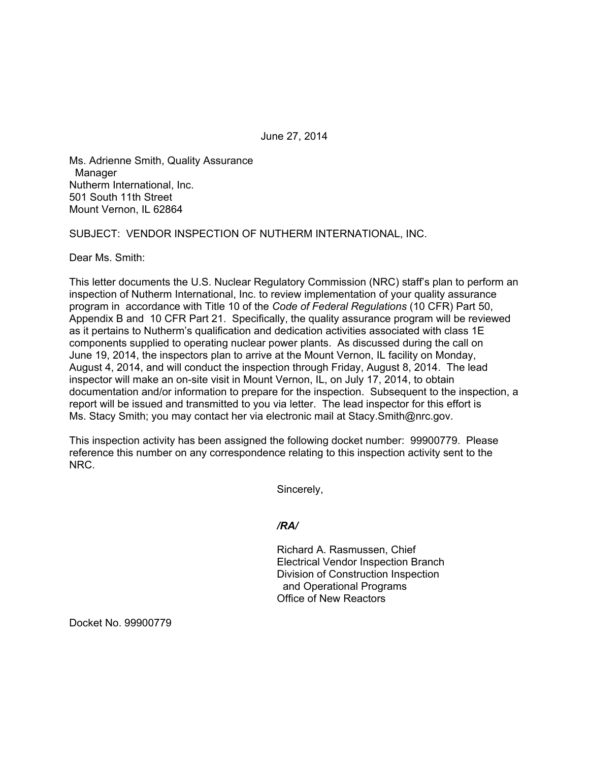June 27, 2014

Ms. Adrienne Smith, Quality Assurance Manager Nutherm International, Inc. 501 South 11th Street Mount Vernon, IL 62864

SUBJECT: VENDOR INSPECTION OF NUTHERM INTERNATIONAL, INC.

Dear Ms. Smith:

This letter documents the U.S. Nuclear Regulatory Commission (NRC) staff's plan to perform an inspection of Nutherm International, Inc. to review implementation of your quality assurance program in accordance with Title 10 of the *Code of Federal Regulations* (10 CFR) Part 50, Appendix B and 10 CFR Part 21. Specifically, the quality assurance program will be reviewed as it pertains to Nutherm's qualification and dedication activities associated with class 1E components supplied to operating nuclear power plants. As discussed during the call on June 19, 2014, the inspectors plan to arrive at the Mount Vernon, IL facility on Monday, August 4, 2014, and will conduct the inspection through Friday, August 8, 2014. The lead inspector will make an on-site visit in Mount Vernon, IL, on July 17, 2014, to obtain documentation and/or information to prepare for the inspection. Subsequent to the inspection, a report will be issued and transmitted to you via letter. The lead inspector for this effort is Ms. Stacy Smith; you may contact her via electronic mail at Stacy.Smith@nrc.gov.

This inspection activity has been assigned the following docket number: 99900779. Please reference this number on any correspondence relating to this inspection activity sent to the NRC.

Sincerely,

## */RA/*

Richard A. Rasmussen, Chief Electrical Vendor Inspection Branch Division of Construction Inspection and Operational Programs Office of New Reactors

Docket No. 99900779